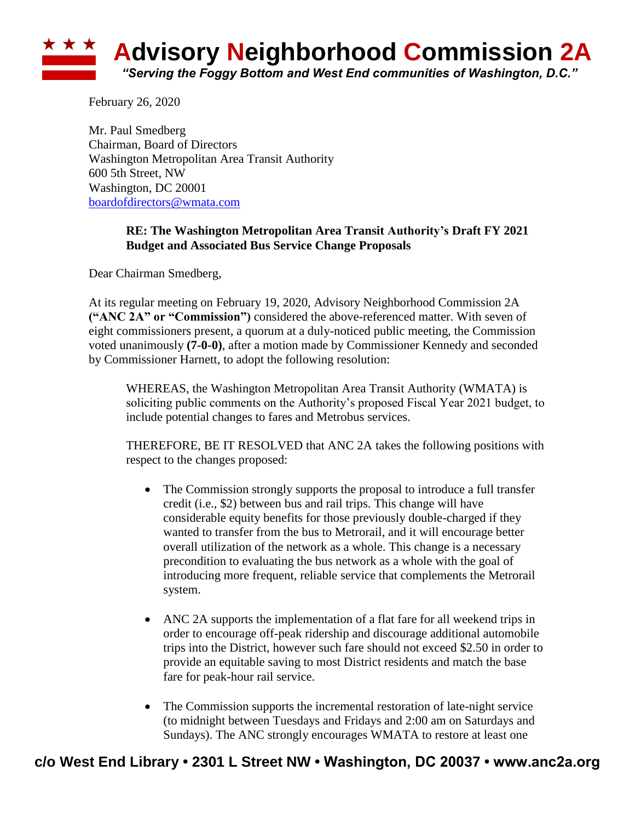

February 26, 2020

Mr. Paul Smedberg Chairman, Board of Directors Washington Metropolitan Area Transit Authority 600 5th Street, NW Washington, DC 20001 [boardofdirectors@wmata.com](mailto:boardofdirectors@wmata.com)

## **RE: The Washington Metropolitan Area Transit Authority's Draft FY 2021 Budget and Associated Bus Service Change Proposals**

Dear Chairman Smedberg,

At its regular meeting on February 19, 2020, Advisory Neighborhood Commission 2A **("ANC 2A" or "Commission")** considered the above-referenced matter. With seven of eight commissioners present, a quorum at a duly-noticed public meeting, the Commission voted unanimously **(7-0-0)**, after a motion made by Commissioner Kennedy and seconded by Commissioner Harnett, to adopt the following resolution:

WHEREAS, the Washington Metropolitan Area Transit Authority (WMATA) is soliciting public comments on the Authority's proposed Fiscal Year 2021 budget, to include potential changes to fares and Metrobus services.

THEREFORE, BE IT RESOLVED that ANC 2A takes the following positions with respect to the changes proposed:

- The Commission strongly supports the proposal to introduce a full transfer credit (i.e., \$2) between bus and rail trips. This change will have considerable equity benefits for those previously double-charged if they wanted to transfer from the bus to Metrorail, and it will encourage better overall utilization of the network as a whole. This change is a necessary precondition to evaluating the bus network as a whole with the goal of introducing more frequent, reliable service that complements the Metrorail system.
- ANC 2A supports the implementation of a flat fare for all weekend trips in order to encourage off-peak ridership and discourage additional automobile trips into the District, however such fare should not exceed \$2.50 in order to provide an equitable saving to most District residents and match the base fare for peak-hour rail service.
- The Commission supports the incremental restoration of late-night service (to midnight between Tuesdays and Fridays and 2:00 am on Saturdays and Sundays). The ANC strongly encourages WMATA to restore at least one

## **c/o West End Library • 2301 L Street NW • Washington, DC 20037 • www.anc2a.org**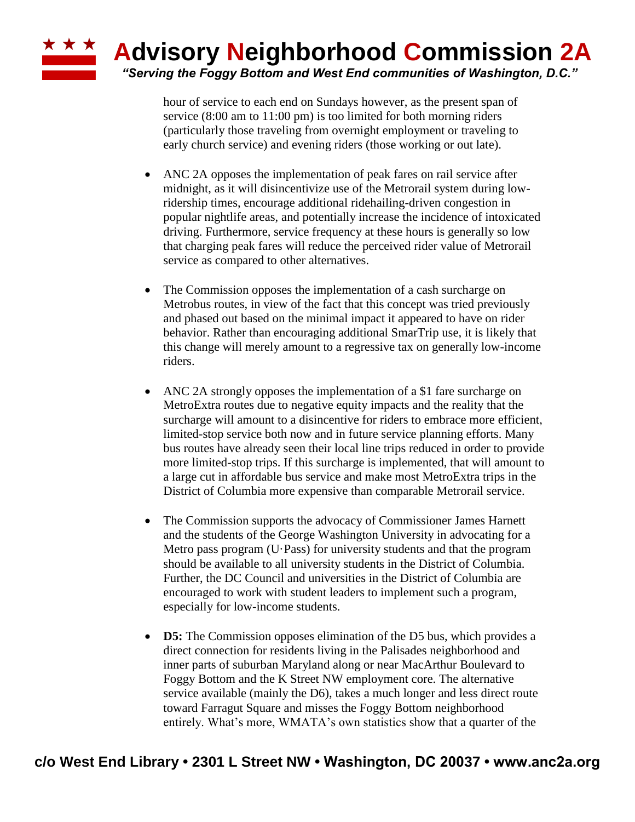hour of service to each end on Sundays however, as the present span of service (8:00 am to 11:00 pm) is too limited for both morning riders (particularly those traveling from overnight employment or traveling to early church service) and evening riders (those working or out late).

- ANC 2A opposes the implementation of peak fares on rail service after midnight, as it will disincentivize use of the Metrorail system during lowridership times, encourage additional ridehailing-driven congestion in popular nightlife areas, and potentially increase the incidence of intoxicated driving. Furthermore, service frequency at these hours is generally so low that charging peak fares will reduce the perceived rider value of Metrorail service as compared to other alternatives.
- The Commission opposes the implementation of a cash surcharge on Metrobus routes, in view of the fact that this concept was tried previously and phased out based on the minimal impact it appeared to have on rider behavior. Rather than encouraging additional SmarTrip use, it is likely that this change will merely amount to a regressive tax on generally low-income riders.
- ANC 2A strongly opposes the implementation of a \$1 fare surcharge on MetroExtra routes due to negative equity impacts and the reality that the surcharge will amount to a disincentive for riders to embrace more efficient, limited-stop service both now and in future service planning efforts. Many bus routes have already seen their local line trips reduced in order to provide more limited-stop trips. If this surcharge is implemented, that will amount to a large cut in affordable bus service and make most MetroExtra trips in the District of Columbia more expensive than comparable Metrorail service.
- The Commission supports the advocacy of Commissioner James Harnett and the students of the George Washington University in advocating for a Metro pass program (U·Pass) for university students and that the program should be available to all university students in the District of Columbia. Further, the DC Council and universities in the District of Columbia are encouraged to work with student leaders to implement such a program, especially for low-income students.
- **D5:** The Commission opposes elimination of the D5 bus, which provides a direct connection for residents living in the Palisades neighborhood and inner parts of suburban Maryland along or near MacArthur Boulevard to Foggy Bottom and the K Street NW employment core. The alternative service available (mainly the D6), takes a much longer and less direct route toward Farragut Square and misses the Foggy Bottom neighborhood entirely. What's more, WMATA's own statistics show that a quarter of the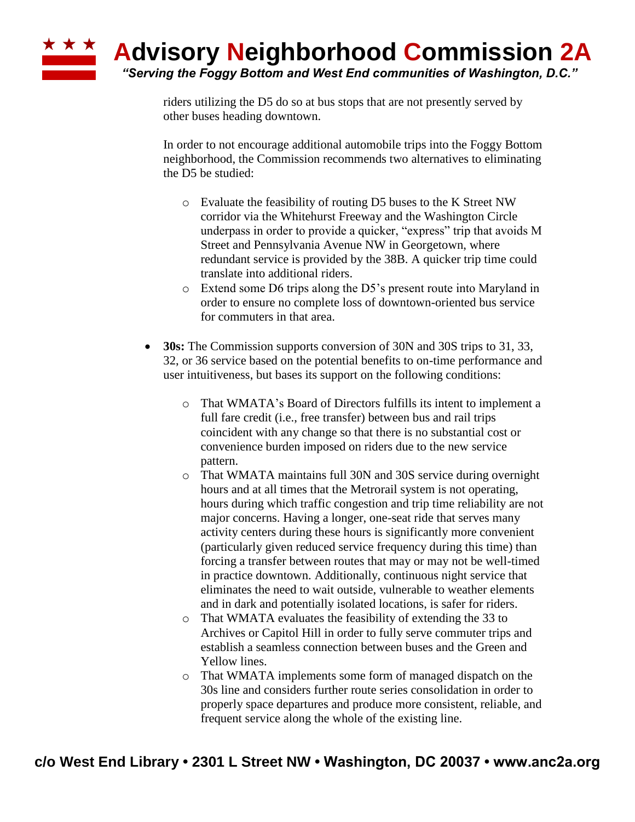

riders utilizing the D5 do so at bus stops that are not presently served by other buses heading downtown.

In order to not encourage additional automobile trips into the Foggy Bottom neighborhood, the Commission recommends two alternatives to eliminating the D5 be studied:

- o Evaluate the feasibility of routing D5 buses to the K Street NW corridor via the Whitehurst Freeway and the Washington Circle underpass in order to provide a quicker, "express" trip that avoids M Street and Pennsylvania Avenue NW in Georgetown, where redundant service is provided by the 38B. A quicker trip time could translate into additional riders.
- o Extend some D6 trips along the D5's present route into Maryland in order to ensure no complete loss of downtown-oriented bus service for commuters in that area.
- **30s:** The Commission supports conversion of 30N and 30S trips to 31, 33, 32, or 36 service based on the potential benefits to on-time performance and user intuitiveness, but bases its support on the following conditions:
	- o That WMATA's Board of Directors fulfills its intent to implement a full fare credit (i.e., free transfer) between bus and rail trips coincident with any change so that there is no substantial cost or convenience burden imposed on riders due to the new service pattern.
	- o That WMATA maintains full 30N and 30S service during overnight hours and at all times that the Metrorail system is not operating, hours during which traffic congestion and trip time reliability are not major concerns. Having a longer, one-seat ride that serves many activity centers during these hours is significantly more convenient (particularly given reduced service frequency during this time) than forcing a transfer between routes that may or may not be well-timed in practice downtown. Additionally, continuous night service that eliminates the need to wait outside, vulnerable to weather elements and in dark and potentially isolated locations, is safer for riders.
	- o That WMATA evaluates the feasibility of extending the 33 to Archives or Capitol Hill in order to fully serve commuter trips and establish a seamless connection between buses and the Green and Yellow lines.
	- o That WMATA implements some form of managed dispatch on the 30s line and considers further route series consolidation in order to properly space departures and produce more consistent, reliable, and frequent service along the whole of the existing line.